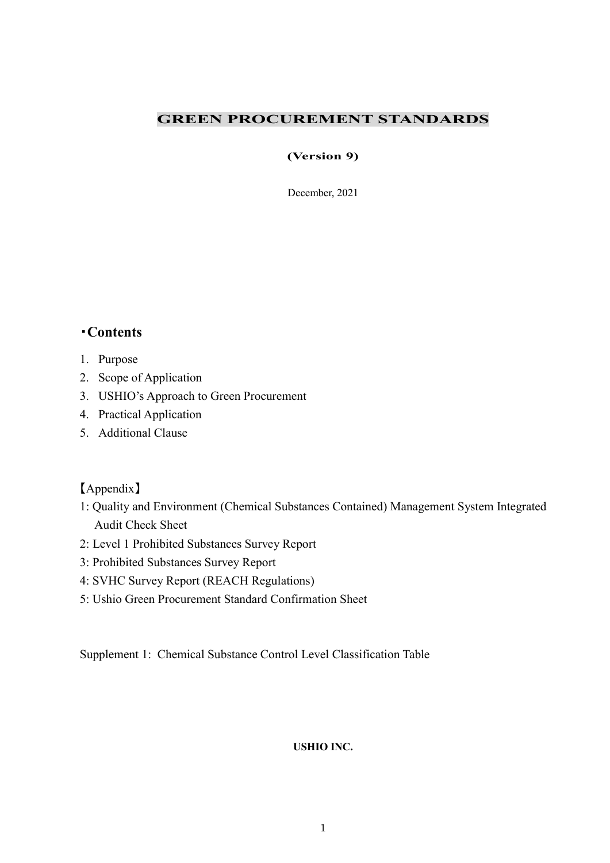#### GREEN PROCUREMENT STANDARDS

#### (Version 9)

December, 2021

## ・Contents

- 1. Purpose
- 2. Scope of Application
- 3. USHIO's Approach to Green Procurement
- 4. Practical Application
- 5. Additional Clause

#### 【Appendix】

- 1: Quality and Environment (Chemical Substances Contained) Management System Integrated Audit Check Sheet
- 2: Level 1 Prohibited Substances Survey Report
- 3: Prohibited Substances Survey Report
- 4: SVHC Survey Report (REACH Regulations)
- 5: Ushio Green Procurement Standard Confirmation Sheet

Supplement 1: Chemical Substance Control Level Classification Table

#### USHIO INC.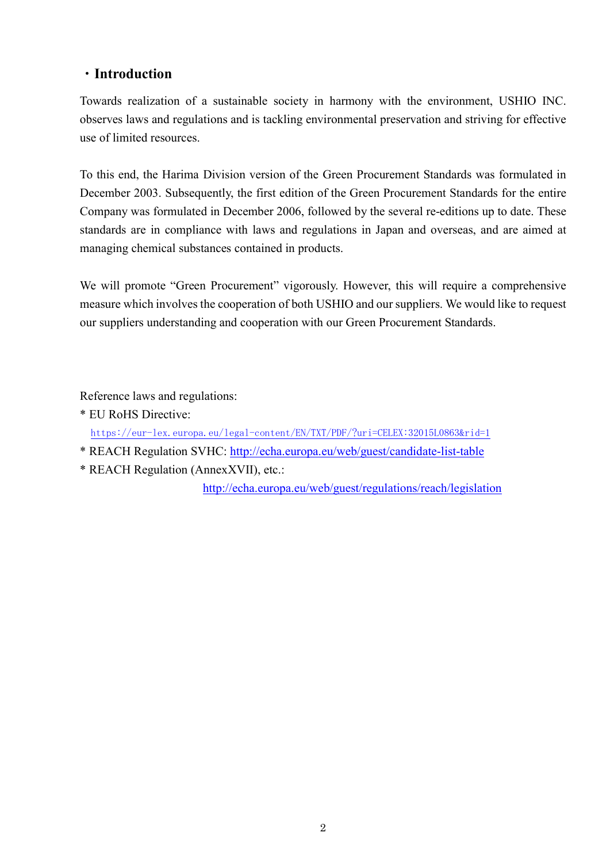# ・Introduction

Towards realization of a sustainable society in harmony with the environment, USHIO INC. observes laws and regulations and is tackling environmental preservation and striving for effective use of limited resources.

To this end, the Harima Division version of the Green Procurement Standards was formulated in December 2003. Subsequently, the first edition of the Green Procurement Standards for the entire Company was formulated in December 2006, followed by the several re-editions up to date. These standards are in compliance with laws and regulations in Japan and overseas, and are aimed at managing chemical substances contained in products.

We will promote "Green Procurement" vigorously. However, this will require a comprehensive measure which involves the cooperation of both USHIO and our suppliers. We would like to request our suppliers understanding and cooperation with our Green Procurement Standards.

Reference laws and regulations:

- \* EU RoHS Directive: https://eur-lex.europa.eu/legal-content/EN/TXT/PDF/?uri=CELEX:32015L0863&rid=1
- \* REACH Regulation SVHC: http://echa.europa.eu/web/guest/candidate-list-table
- \* REACH Regulation (AnnexXVII), etc.:

http://echa.europa.eu/web/guest/regulations/reach/legislation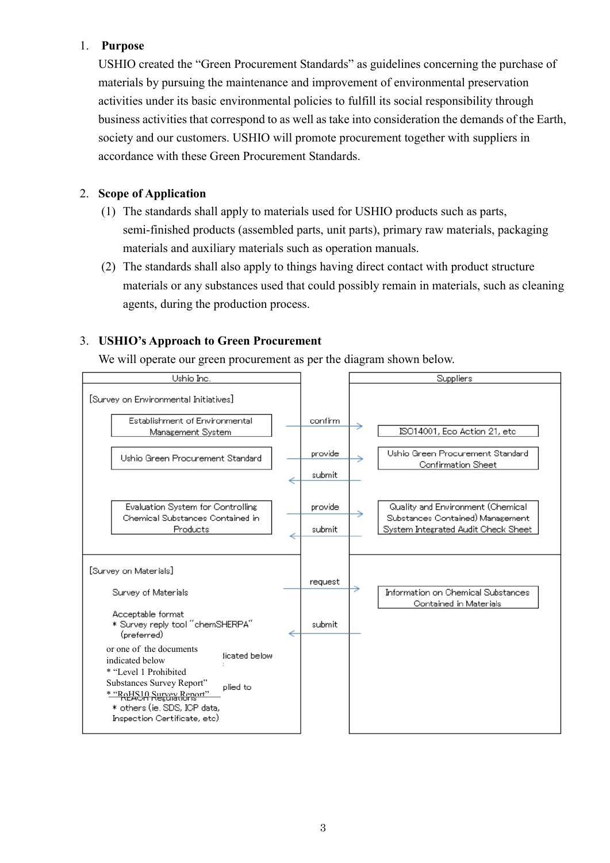#### 1. Purpose

USHIO created the "Green Procurement Standards" as guidelines concerning the purchase of materials by pursuing the maintenance and improvement of environmental preservation activities under its basic environmental policies to fulfill its social responsibility through business activities that correspond to as well as take into consideration the demands of the Earth, society and our customers. USHIO will promote procurement together with suppliers in accordance with these Green Procurement Standards.

#### 2. Scope of Application

- (1) The standards shall apply to materials used for USHIO products such as parts, semi-finished products (assembled parts, unit parts), primary raw materials, packaging materials and auxiliary materials such as operation manuals.
- (2) The standards shall also apply to things having direct contact with product structure materials or any substances used that could possibly remain in materials, such as cleaning agents, during the production process.

### 3. USHIO's Approach to Green Procurement

We will operate our green procurement as per the diagram shown below.

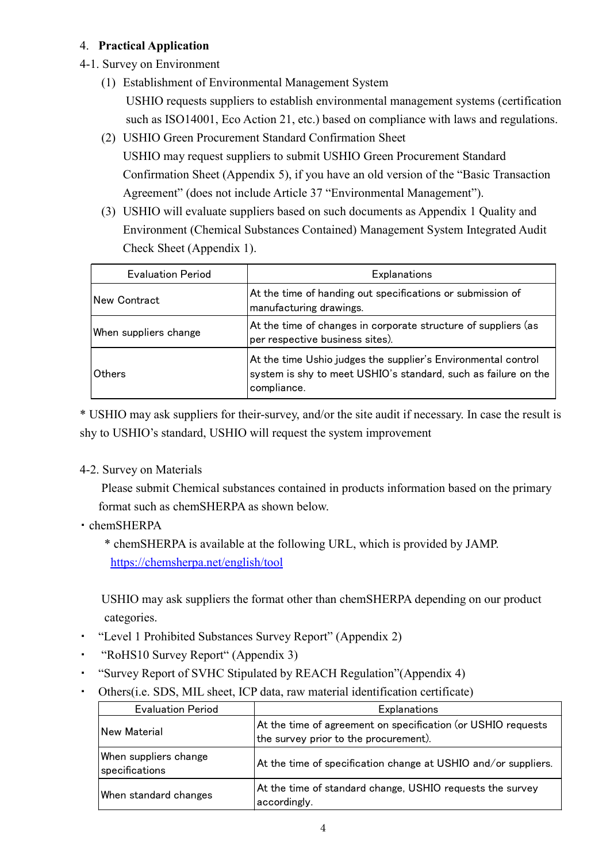#### 4. Practical Application

- 4-1. Survey on Environment
	- (1) Establishment of Environmental Management System USHIO requests suppliers to establish environmental management systems (certification such as ISO14001, Eco Action 21, etc.) based on compliance with laws and regulations.
	- (2) USHIO Green Procurement Standard Confirmation Sheet USHIO may request suppliers to submit USHIO Green Procurement Standard Confirmation Sheet (Appendix 5), if you have an old version of the "Basic Transaction Agreement" (does not include Article 37 "Environmental Management").
	- (3) USHIO will evaluate suppliers based on such documents as Appendix 1 Quality and Environment (Chemical Substances Contained) Management System Integrated Audit Check Sheet (Appendix 1).

| <b>Evaluation Period</b> | Explanations                                                                                                                                   |
|--------------------------|------------------------------------------------------------------------------------------------------------------------------------------------|
| lNew Contract            | At the time of handing out specifications or submission of<br>manufacturing drawings.                                                          |
| When suppliers change    | At the time of changes in corporate structure of suppliers (as<br>per respective business sites).                                              |
| Others                   | At the time Ushio judges the supplier's Environmental control<br>system is shy to meet USHIO's standard, such as failure on the<br>compliance. |

\* USHIO may ask suppliers for their-survey, and/or the site audit if necessary. In case the result is shy to USHIO's standard, USHIO will request the system improvement

#### 4-2. Survey on Materials

 Please submit Chemical substances contained in products information based on the primary format such as chemSHERPA as shown below.

#### ・ chemSHERPA

\* chemSHERPA is available at the following URL, which is provided by JAMP. https://chemsherpa.net/english/tool

 USHIO may ask suppliers the format other than chemSHERPA depending on our product categories.

- ・ "Level 1 Prohibited Substances Survey Report" (Appendix 2)
- ・ "RoHS10 Survey Report" (Appendix 3)
- "Survey Report of SVHC Stipulated by REACH Regulation"(Appendix 4)
- ・ Others(i.e. SDS, MIL sheet, ICP data, raw material identification certificate)

| Others (i.e. SDS, MIL sheet, ICP data, raw material identification certificate) |                                                                                                       |  |  |
|---------------------------------------------------------------------------------|-------------------------------------------------------------------------------------------------------|--|--|
| <b>Evaluation Period</b>                                                        | Explanations                                                                                          |  |  |
| New Material                                                                    | At the time of agreement on specification (or USHIO requests<br>the survey prior to the procurement). |  |  |
| When suppliers change<br>specifications                                         | At the time of specification change at USHIO and/or suppliers.                                        |  |  |
| When standard changes                                                           | At the time of standard change, USHIO requests the survey<br>accordingly.                             |  |  |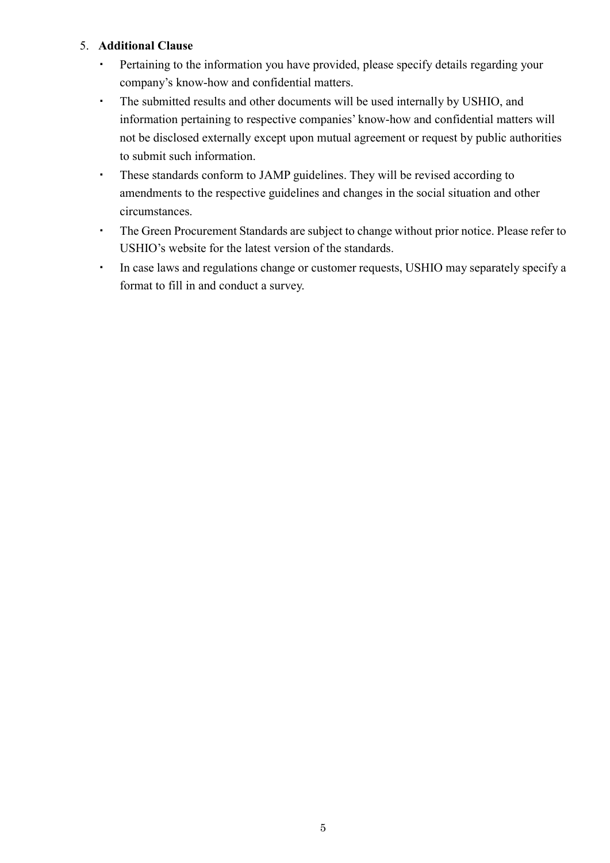#### 5. Additional Clause

- ・ Pertaining to the information you have provided, please specify details regarding your company's know-how and confidential matters.
- ・ The submitted results and other documents will be used internally by USHIO, and information pertaining to respective companies' know-how and confidential matters will not be disclosed externally except upon mutual agreement or request by public authorities to submit such information.
- ・ These standards conform to JAMP guidelines. They will be revised according to amendments to the respective guidelines and changes in the social situation and other circumstances.
- ・ The Green Procurement Standards are subject to change without prior notice. Please refer to USHIO's website for the latest version of the standards.
- ・ In case laws and regulations change or customer requests, USHIO may separately specify a format to fill in and conduct a survey.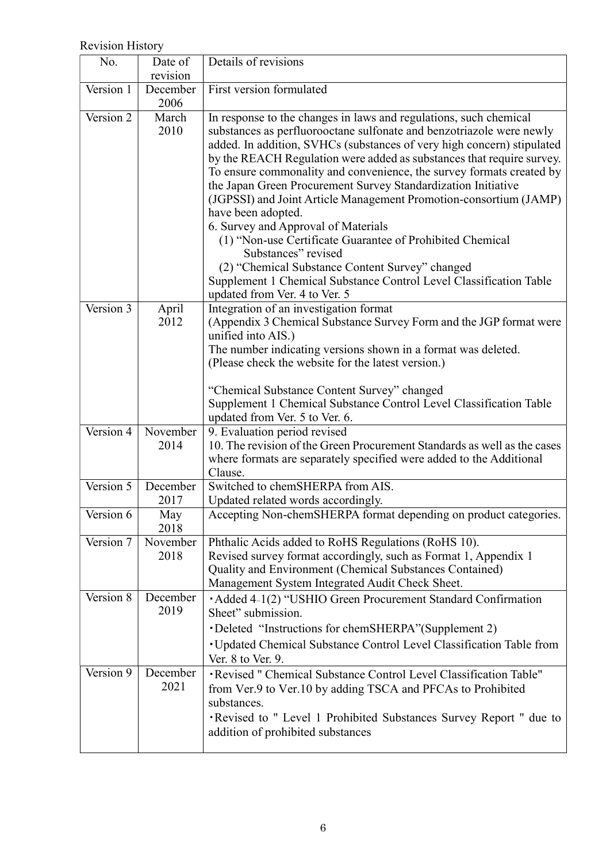# Revision History

| No.         | Date of<br>revision | Details of revisions                                                                                                                                                                                                                                                                                                                                                                                                                                                                                                                                                                                                                                                                                                                                                                                                  |
|-------------|---------------------|-----------------------------------------------------------------------------------------------------------------------------------------------------------------------------------------------------------------------------------------------------------------------------------------------------------------------------------------------------------------------------------------------------------------------------------------------------------------------------------------------------------------------------------------------------------------------------------------------------------------------------------------------------------------------------------------------------------------------------------------------------------------------------------------------------------------------|
| Version 1   | December<br>2006    | First version formulated                                                                                                                                                                                                                                                                                                                                                                                                                                                                                                                                                                                                                                                                                                                                                                                              |
| Version 2   | March<br>2010       | In response to the changes in laws and regulations, such chemical<br>substances as perfluorooctane sulfonate and benzotriazole were newly<br>added. In addition, SVHCs (substances of very high concern) stipulated<br>by the REACH Regulation were added as substances that require survey.<br>To ensure commonality and convenience, the survey formats created by<br>the Japan Green Procurement Survey Standardization Initiative<br>(JGPSSI) and Joint Article Management Promotion-consortium (JAMP)<br>have been adopted.<br>6. Survey and Approval of Materials<br>(1) "Non-use Certificate Guarantee of Prohibited Chemical<br>Substances" revised<br>(2) "Chemical Substance Content Survey" changed<br>Supplement 1 Chemical Substance Control Level Classification Table<br>updated from Ver. 4 to Ver. 5 |
| Version 3   | April<br>2012       | Integration of an investigation format<br>(Appendix 3 Chemical Substance Survey Form and the JGP format were<br>unified into AIS.)<br>The number indicating versions shown in a format was deleted.<br>(Please check the website for the latest version.)<br>"Chemical Substance Content Survey" changed<br>Supplement 1 Chemical Substance Control Level Classification Table<br>updated from Ver. 5 to Ver. 6.                                                                                                                                                                                                                                                                                                                                                                                                      |
| Version 4   | November<br>2014    | 9. Evaluation period revised<br>10. The revision of the Green Procurement Standards as well as the cases<br>where formats are separately specified were added to the Additional<br>Clause.                                                                                                                                                                                                                                                                                                                                                                                                                                                                                                                                                                                                                            |
| Version 5   | December<br>2017    | Switched to chemSHERPA from AIS.<br>Updated related words accordingly.                                                                                                                                                                                                                                                                                                                                                                                                                                                                                                                                                                                                                                                                                                                                                |
| Version $6$ | May<br>2018         | Accepting Non-chemSHERPA format depending on product categories.                                                                                                                                                                                                                                                                                                                                                                                                                                                                                                                                                                                                                                                                                                                                                      |
| Version 7   | November<br>2018    | Phthalic Acids added to RoHS Regulations (RoHS 10).<br>Revised survey format accordingly, such as Format 1, Appendix 1<br>Quality and Environment (Chemical Substances Contained)<br>Management System Integrated Audit Check Sheet.                                                                                                                                                                                                                                                                                                                                                                                                                                                                                                                                                                                  |
| Version 8   | December<br>2019    | • Added 4-1(2) "USHIO Green Procurement Standard Confirmation<br>Sheet" submission.<br>• Deleted "Instructions for chemSHERPA" (Supplement 2)<br>• Updated Chemical Substance Control Level Classification Table from<br>Ver. 8 to Ver. 9.                                                                                                                                                                                                                                                                                                                                                                                                                                                                                                                                                                            |
| Version 9   | December<br>2021    | · Revised " Chemical Substance Control Level Classification Table"<br>from Ver.9 to Ver.10 by adding TSCA and PFCAs to Prohibited<br>substances.<br>. Revised to " Level 1 Prohibited Substances Survey Report " due to<br>addition of prohibited substances                                                                                                                                                                                                                                                                                                                                                                                                                                                                                                                                                          |